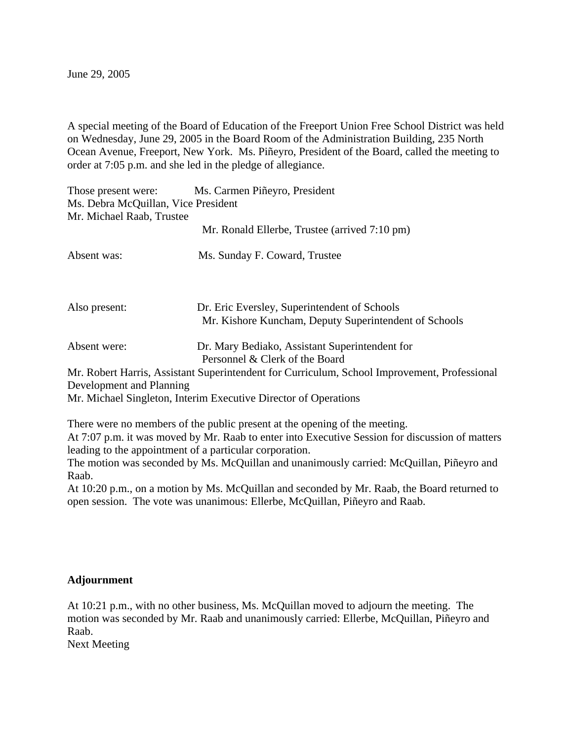June 29, 2005

A special meeting of the Board of Education of the Freeport Union Free School District was held on Wednesday, June 29, 2005 in the Board Room of the Administration Building, 235 North Ocean Avenue, Freeport, New York. Ms. Piñeyro, President of the Board, called the meeting to order at 7:05 p.m. and she led in the pledge of allegiance.

| Those present were:<br>Ms. Debra McQuillan, Vice President<br>Mr. Michael Raab, Trustee | Ms. Carmen Piñeyro, President                                                                |
|-----------------------------------------------------------------------------------------|----------------------------------------------------------------------------------------------|
|                                                                                         | Mr. Ronald Ellerbe, Trustee (arrived 7:10 pm)                                                |
| Absent was:                                                                             | Ms. Sunday F. Coward, Trustee                                                                |
| Also present:                                                                           | Dr. Eric Eversley, Superintendent of Schools                                                 |
|                                                                                         | Mr. Kishore Kuncham, Deputy Superintendent of Schools                                        |
| Absent were:                                                                            | Dr. Mary Bediako, Assistant Superintendent for<br>Personnel & Clerk of the Board             |
|                                                                                         | Mr. Robert Harris, Assistant Superintendent for Curriculum, School Improvement, Professional |
| Development and Planning                                                                |                                                                                              |
| Mr. Michael Singleton, Interim Executive Director of Operations                         |                                                                                              |

There were no members of the public present at the opening of the meeting.

At 7:07 p.m. it was moved by Mr. Raab to enter into Executive Session for discussion of matters leading to the appointment of a particular corporation.

The motion was seconded by Ms. McQuillan and unanimously carried: McQuillan, Piñeyro and Raab.

At 10:20 p.m., on a motion by Ms. McQuillan and seconded by Mr. Raab, the Board returned to open session. The vote was unanimous: Ellerbe, McQuillan, Piñeyro and Raab.

## **Adjournment**

At 10:21 p.m., with no other business, Ms. McQuillan moved to adjourn the meeting. The motion was seconded by Mr. Raab and unanimously carried: Ellerbe, McQuillan, Piñeyro and Raab.

Next Meeting